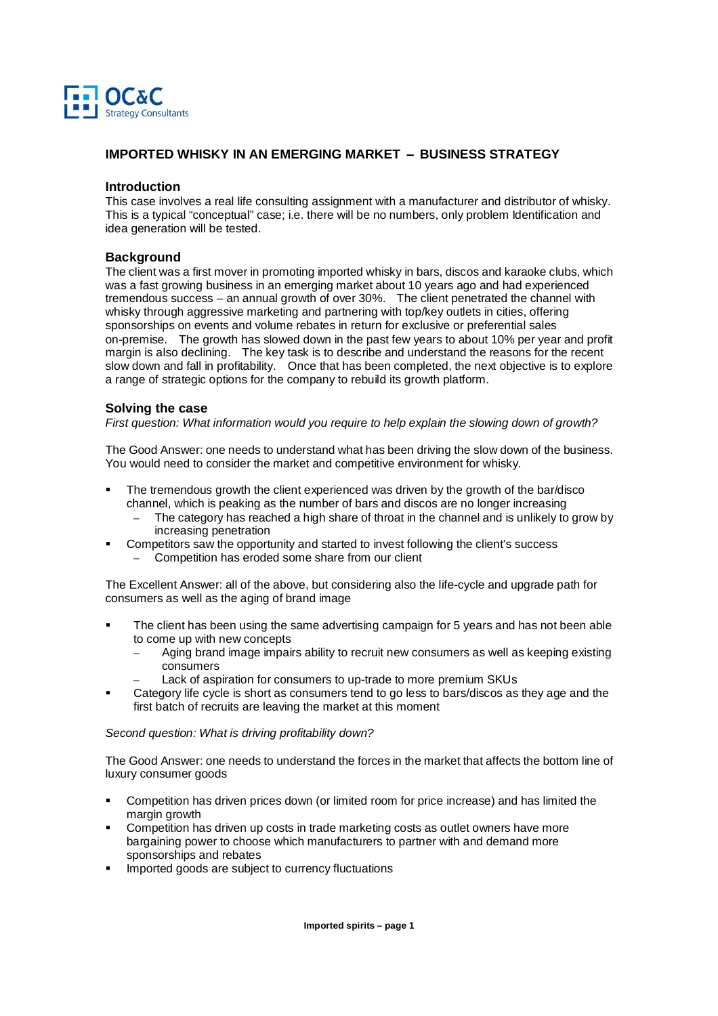

# **IMPORTED WHISKY IN AN EMERGING MARKET** – **BUSINESS STRATEGY**

## **Introduction**

This case involves a real life consulting assignment with a manufacturer and distributor of whisky. This is a typical "conceptual" case; i.e. there will be no numbers, only problem Identification and idea generation will be tested.

## **Background**

The client was a first mover in promoting imported whisky in bars, discos and karaoke clubs, which was a fast growing business in an emerging market about 10 years ago and had experienced tremendous success – an annual growth of over 30%. The client penetrated the channel with whisky through aggressive marketing and partnering with top/key outlets in cities, offering sponsorships on events and volume rebates in return for exclusive or preferential sales on-premise. The growth has slowed down in the past few years to about 10% per year and profit margin is also declining. The key task is to describe and understand the reasons for the recent slow down and fall in profitability. Once that has been completed, the next objective is to explore a range of strategic options for the company to rebuild its growth platform.

#### **Solving the case**

First question: What information would you require to help explain the slowing down of growth?

The Good Answer: one needs to understand what has been driving the slow down of the business. You would need to consider the market and competitive environment for whisky.

- The tremendous growth the client experienced was driven by the growth of the bar/disco channel, which is peaking as the number of bars and discos are no longer increasing
	- The category has reached a high share of throat in the channel and is unlikely to grow by increasing penetration
	- Competitors saw the opportunity and started to invest following the client's success
		- Competition has eroded some share from our client

The Excellent Answer: all of the above, but considering also the life-cycle and upgrade path for consumers as well as the aging of brand image

- The client has been using the same advertising campaign for 5 years and has not been able to come up with new concepts
	- Aging brand image impairs ability to recruit new consumers as well as keeping existing consumers
	- Lack of aspiration for consumers to up-trade to more premium SKUs
- Category life cycle is short as consumers tend to go less to bars/discos as they age and the first batch of recruits are leaving the market at this moment

#### Second question: What is driving profitability down?

The Good Answer: one needs to understand the forces in the market that affects the bottom line of luxury consumer goods

- Competition has driven prices down (or limited room for price increase) and has limited the margin growth
- Competition has driven up costs in trade marketing costs as outlet owners have more bargaining power to choose which manufacturers to partner with and demand more sponsorships and rebates
- Imported goods are subject to currency fluctuations